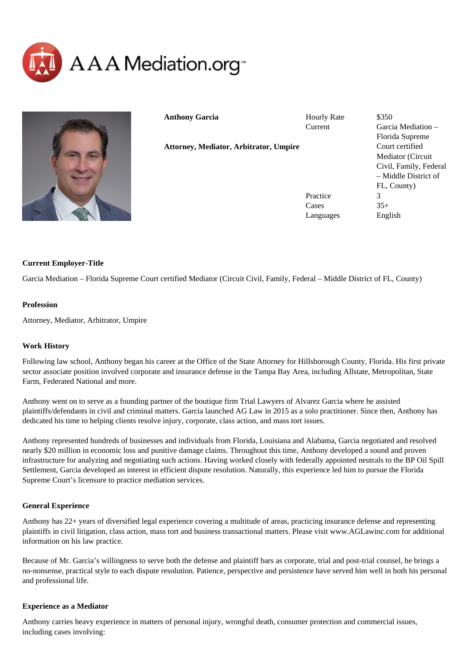



**Anthony Garcia**

Hourly Rate \$350

Current Garcia Mediation – Florida Supreme Court certified Mediator (Circuit Civil, Family, Federal – Middle District of FL, County) Practice 3  $\text{Case} \quad 35+$ Languages English

# **Current Employer-Title**

Garcia Mediation – Florida Supreme Court certified Mediator (Circuit Civil, Family, Federal – Middle District of FL, County)

**Attorney, Mediator, Arbitrator, Umpire**

#### **Profession**

Attorney, Mediator, Arbitrator, Umpire

# **Work History**

Following law school, Anthony began his career at the Office of the State Attorney for Hillsborough County, Florida. His first private sector associate position involved corporate and insurance defense in the Tampa Bay Area, including Allstate, Metropolitan, State Farm, Federated National and more.

Anthony went on to serve as a founding partner of the boutique firm Trial Lawyers of Alvarez Garcia where he assisted plaintiffs/defendants in civil and criminal matters. Garcia launched AG Law in 2015 as a solo practitioner. Since then, Anthony has dedicated his time to helping clients resolve injury, corporate, class action, and mass tort issues.

Anthony represented hundreds of businesses and individuals from Florida, Louisiana and Alabama, Garcia negotiated and resolved nearly \$20 million in economic loss and punitive damage claims. Throughout this time, Anthony developed a sound and proven infrastructure for analyzing and negotiating such actions. Having worked closely with federally appointed neutrals to the BP Oil Spill Settlement, Garcia developed an interest in efficient dispute resolution. Naturally, this experience led him to pursue the Florida Supreme Court's licensure to practice mediation services.

#### **General Experience**

Anthony has 22+ years of diversified legal experience covering a multitude of areas, practicing insurance defense and representing plaintiffs in civil litigation, class action, mass tort and business transactional matters. Please visit www.AGLawinc.com for additional information on his law practice.

Because of Mr. Garcia's willingness to serve both the defense and plaintiff bars as corporate, trial and post-trial counsel, he brings a no-nonsense, practical style to each dispute resolution. Patience, perspective and persistence have served him well in both his personal and professional life.

#### **Experience as a Mediator**

Anthony carries heavy experience in matters of personal injury, wrongful death, consumer protection and commercial issues, including cases involving: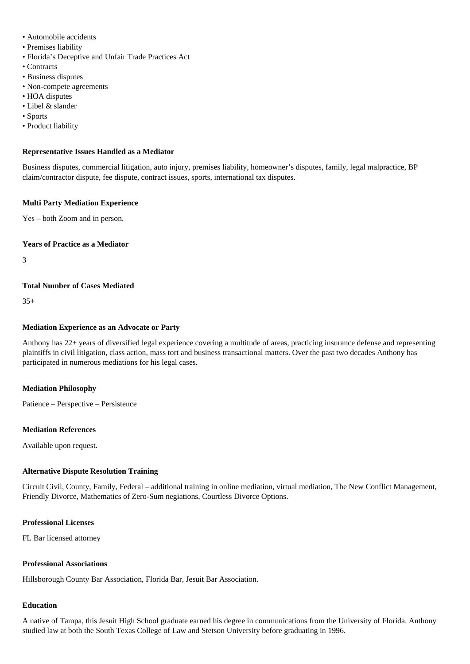- Automobile accidents
- Premises liability
- Florida's Deceptive and Unfair Trade Practices Act
- Contracts
- Business disputes
- Non-compete agreements
- HOA disputes
- Libel & slander
- Sports
- Product liability

#### **Representative Issues Handled as a Mediator**

Business disputes, commercial litigation, auto injury, premises liability, homeowner's disputes, family, legal malpractice, BP claim/contractor dispute, fee dispute, contract issues, sports, international tax disputes.

#### **Multi Party Mediation Experience**

Yes – both Zoom and in person.

### **Years of Practice as a Mediator**

3

## **Total Number of Cases Mediated**

 $35+$ 

### **Mediation Experience as an Advocate or Party**

Anthony has 22+ years of diversified legal experience covering a multitude of areas, practicing insurance defense and representing plaintiffs in civil litigation, class action, mass tort and business transactional matters. Over the past two decades Anthony has participated in numerous mediations for his legal cases.

#### **Mediation Philosophy**

Patience – Perspective – Persistence

#### **Mediation References**

Available upon request.

#### **Alternative Dispute Resolution Training**

Circuit Civil, County, Family, Federal – additional training in online mediation, virtual mediation, The New Conflict Management, Friendly Divorce, Mathematics of Zero-Sum negiations, Courtless Divorce Options.

### **Professional Licenses**

FL Bar licensed attorney

#### **Professional Associations**

Hillsborough County Bar Association, Florida Bar, Jesuit Bar Association.

#### **Education**

A native of Tampa, this Jesuit High School graduate earned his degree in communications from the University of Florida. Anthony studied law at both the South Texas College of Law and Stetson University before graduating in 1996.